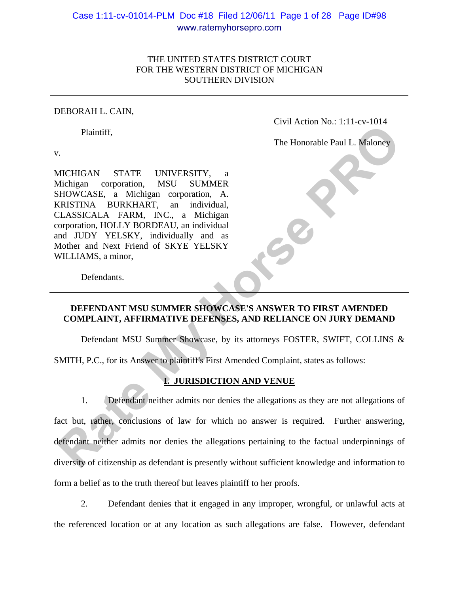# Case 1:11-cv-01014-PLM Doc #18 Filed 12/06/11 Page 1 of 28 Page ID#98 www.ratemyhorsepro.com

### THE UNITED STATES DISTRICT COURT FOR THE WESTERN DISTRICT OF MICHIGAN SOUTHERN DIVISION

#### DEBORAH L. CAIN,

Plaintiff,

Civil Action No.: 1:11-cv-1014

The Honorable Paul L. Maloney

v.

MICHIGAN STATE UNIVERSITY, a Michigan corporation, MSU SUMMER SHOWCASE, a Michigan corporation, A. KRISTINA BURKHART, an individual, CLASSICALA FARM, INC., a Michigan corporation, HOLLY BORDEAU, an individual and JUDY YELSKY, individually and as Mother and Next Friend of SKYE YELSKY WILLIAMS, a minor,

Defendants.

### **DEFENDANT MSU SUMMER SHOWCASE'S ANSWER TO FIRST AMENDED COMPLAINT, AFFIRMATIVE DEFENSES, AND RELIANCE ON JURY DEMAND**

Defendant MSU Summer Showcase, by its attorneys FOSTER, SWIFT, COLLINS &

SMITH, P.C., for its Answer to plaintiff's First Amended Complaint, states as follows:

### **I. JURISDICTION AND VENUE**

1. Defendant neither admits nor denies the allegations as they are not allegations of fact but, rather, conclusions of law for which no answer is required. Further answering, defendant neither admits nor denies the allegations pertaining to the factual underpinnings of diversity of citizenship as defendant is presently without sufficient knowledge and information to form a belief as to the truth thereof but leaves plaintiff to her proofs. Plaintiff,<br>
The Honorable Paul L. Maloney<br>
I. The Honorable Paul L. Maloney<br>
MCHIGAN STATE UNIVERSITY, a<br>
MCMCASE, a Michigan corporation, A.<br>
RAISITINA BURKHARI, an individual,<br>
RATELLASSICALA FRAM, INC., a Michigan<br>
morp

2. Defendant denies that it engaged in any improper, wrongful, or unlawful acts at the referenced location or at any location as such allegations are false. However, defendant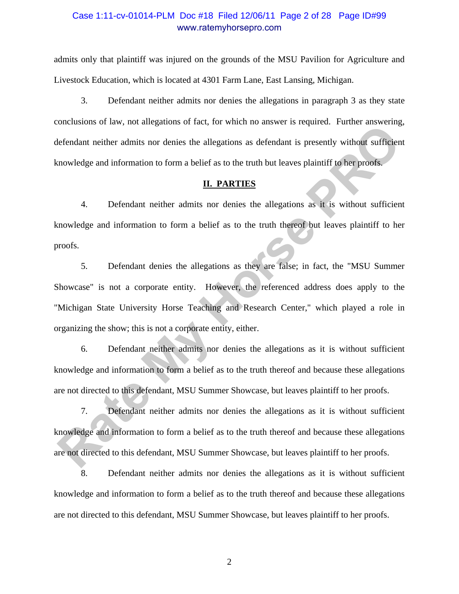### Case 1:11-cv-01014-PLM Doc #18 Filed 12/06/11 Page 2 of 28 Page ID#99 www.ratemyhorsepro.com

admits only that plaintiff was injured on the grounds of the MSU Pavilion for Agriculture and Livestock Education, which is located at 4301 Farm Lane, East Lansing, Michigan.

3. Defendant neither admits nor denies the allegations in paragraph 3 as they state conclusions of law, not allegations of fact, for which no answer is required. Further answering, defendant neither admits nor denies the allegations as defendant is presently without sufficient knowledge and information to form a belief as to the truth but leaves plaintiff to her proofs.

#### **II. PARTIES**

4. Defendant neither admits nor denies the allegations as it is without sufficient knowledge and information to form a belief as to the truth thereof but leaves plaintiff to her proofs.

5. Defendant denies the allegations as they are false; in fact, the "MSU Summer Showcase" is not a corporate entity. However, the referenced address does apply to the "Michigan State University Horse Teaching and Research Center," which played a role in organizing the show; this is not a corporate entity, either. Examples of any not ancelanous of their for states to the the state in Figure. Then the theorem and the tem anti-<br> **RETARTIES**<br> **RATERS**<br> **RATERS**<br> **RATERS**<br> **RATERS**<br> **RATERS**<br> **RATERS**<br> **RATERS**<br> **RATERS**<br> **RATERS**<br> **RAT** 

6. Defendant neither admits nor denies the allegations as it is without sufficient knowledge and information to form a belief as to the truth thereof and because these allegations are not directed to this defendant, MSU Summer Showcase, but leaves plaintiff to her proofs.

7. Defendant neither admits nor denies the allegations as it is without sufficient knowledge and information to form a belief as to the truth thereof and because these allegations are not directed to this defendant, MSU Summer Showcase, but leaves plaintiff to her proofs.

8. Defendant neither admits nor denies the allegations as it is without sufficient knowledge and information to form a belief as to the truth thereof and because these allegations are not directed to this defendant, MSU Summer Showcase, but leaves plaintiff to her proofs.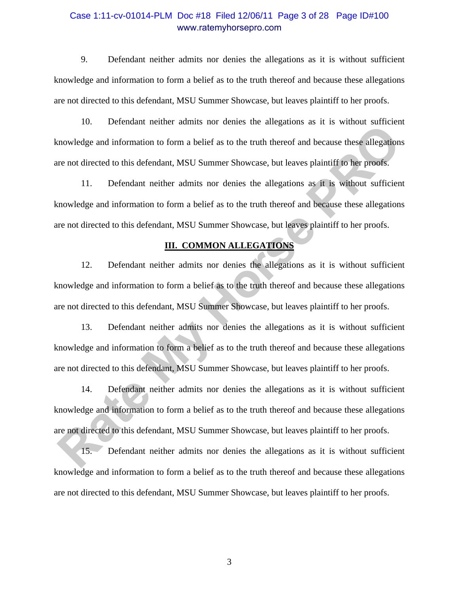### Case 1:11-cv-01014-PLM Doc #18 Filed 12/06/11 Page 3 of 28 Page ID#100 www.ratemyhorsepro.com

9. Defendant neither admits nor denies the allegations as it is without sufficient knowledge and information to form a belief as to the truth thereof and because these allegations are not directed to this defendant, MSU Summer Showcase, but leaves plaintiff to her proofs.

10. Defendant neither admits nor denies the allegations as it is without sufficient knowledge and information to form a belief as to the truth thereof and because these allegations are not directed to this defendant, MSU Summer Showcase, but leaves plaintiff to her proofs.

11. Defendant neither admits nor denies the allegations as it is without sufficient knowledge and information to form a belief as to the truth thereof and because these allegations are not directed to this defendant, MSU Summer Showcase, but leaves plaintiff to her proofs.

#### **III. COMMON ALLEGATIONS**

12. Defendant neither admits nor denies the allegations as it is without sufficient knowledge and information to form a belief as to the truth thereof and because these allegations are not directed to this defendant, MSU Summer Showcase, but leaves plaintiff to her proofs. **Rate Constrainer in the Constrainer Constrainer in the Constrainer increase the mass in the mass in the mass in the mass can be a mass constructed constrained mean to a mass and information to form a belief as to the trut** 

13. Defendant neither admits nor denies the allegations as it is without sufficient knowledge and information to form a belief as to the truth thereof and because these allegations are not directed to this defendant, MSU Summer Showcase, but leaves plaintiff to her proofs.

14. Defendant neither admits nor denies the allegations as it is without sufficient knowledge and information to form a belief as to the truth thereof and because these allegations are not directed to this defendant, MSU Summer Showcase, but leaves plaintiff to her proofs.

15. Defendant neither admits nor denies the allegations as it is without sufficient knowledge and information to form a belief as to the truth thereof and because these allegations are not directed to this defendant, MSU Summer Showcase, but leaves plaintiff to her proofs.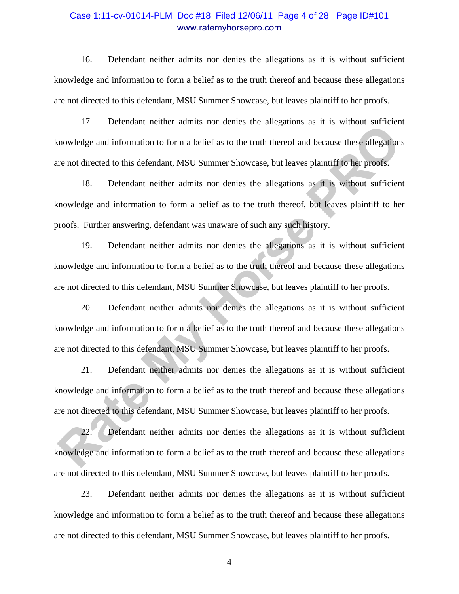### Case 1:11-cv-01014-PLM Doc #18 Filed 12/06/11 Page 4 of 28 Page ID#101 www.ratemyhorsepro.com

16. Defendant neither admits nor denies the allegations as it is without sufficient knowledge and information to form a belief as to the truth thereof and because these allegations are not directed to this defendant, MSU Summer Showcase, but leaves plaintiff to her proofs.

17. Defendant neither admits nor denies the allegations as it is without sufficient knowledge and information to form a belief as to the truth thereof and because these allegations are not directed to this defendant, MSU Summer Showcase, but leaves plaintiff to her proofs.

18. Defendant neither admits nor denies the allegations as it is without sufficient knowledge and information to form a belief as to the truth thereof, but leaves plaintiff to her proofs. Further answering, defendant was unaware of such any such history. 17. Lockmann header wantes and a collect at the protokon with the movelledge and information to form a belief as to the truth thereof and because these allegations are not directed to this defendant. MSU Summer Showcase, b

19. Defendant neither admits nor denies the allegations as it is without sufficient knowledge and information to form a belief as to the truth thereof and because these allegations are not directed to this defendant, MSU Summer Showcase, but leaves plaintiff to her proofs.

20. Defendant neither admits nor denies the allegations as it is without sufficient knowledge and information to form a belief as to the truth thereof and because these allegations are not directed to this defendant, MSU Summer Showcase, but leaves plaintiff to her proofs.

21. Defendant neither admits nor denies the allegations as it is without sufficient knowledge and information to form a belief as to the truth thereof and because these allegations are not directed to this defendant, MSU Summer Showcase, but leaves plaintiff to her proofs.

22. Defendant neither admits nor denies the allegations as it is without sufficient knowledge and information to form a belief as to the truth thereof and because these allegations are not directed to this defendant, MSU Summer Showcase, but leaves plaintiff to her proofs.

23. Defendant neither admits nor denies the allegations as it is without sufficient knowledge and information to form a belief as to the truth thereof and because these allegations are not directed to this defendant, MSU Summer Showcase, but leaves plaintiff to her proofs.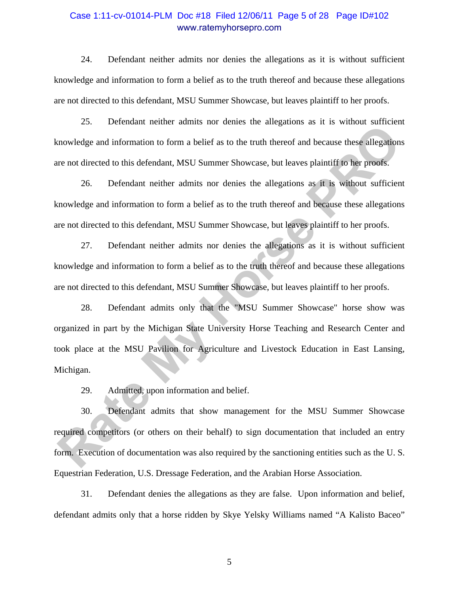### Case 1:11-cv-01014-PLM Doc #18 Filed 12/06/11 Page 5 of 28 Page ID#102 www.ratemyhorsepro.com

24. Defendant neither admits nor denies the allegations as it is without sufficient knowledge and information to form a belief as to the truth thereof and because these allegations are not directed to this defendant, MSU Summer Showcase, but leaves plaintiff to her proofs.

25. Defendant neither admits nor denies the allegations as it is without sufficient knowledge and information to form a belief as to the truth thereof and because these allegations are not directed to this defendant, MSU Summer Showcase, but leaves plaintiff to her proofs.

26. Defendant neither admits nor denies the allegations as it is without sufficient knowledge and information to form a belief as to the truth thereof and because these allegations are not directed to this defendant, MSU Summer Showcase, but leaves plaintiff to her proofs.

27. Defendant neither admits nor denies the allegations as it is without sufficient knowledge and information to form a belief as to the truth thereof and because these allegations are not directed to this defendant, MSU Summer Showcase, but leaves plaintiff to her proofs.

28. Defendant admits only that the "MSU Summer Showcase" horse show was organized in part by the Michigan State University Horse Teaching and Research Center and took place at the MSU Pavilion for Agriculture and Livestock Education in East Lansing, Michigan. Example and information to form a belief as to the truth thereof and because these allegations<br>are not directed to this defendant. MSU Summer Showcase, but leaves plainitf to her proofs.<br>26. Defendant neither admits nor de

29. Admitted, upon information and belief.

30. Defendant admits that show management for the MSU Summer Showcase required competitors (or others on their behalf) to sign documentation that included an entry form. Execution of documentation was also required by the sanctioning entities such as the U. S. Equestrian Federation, U.S. Dressage Federation, and the Arabian Horse Association.

31. Defendant denies the allegations as they are false. Upon information and belief, defendant admits only that a horse ridden by Skye Yelsky Williams named "A Kalisto Baceo"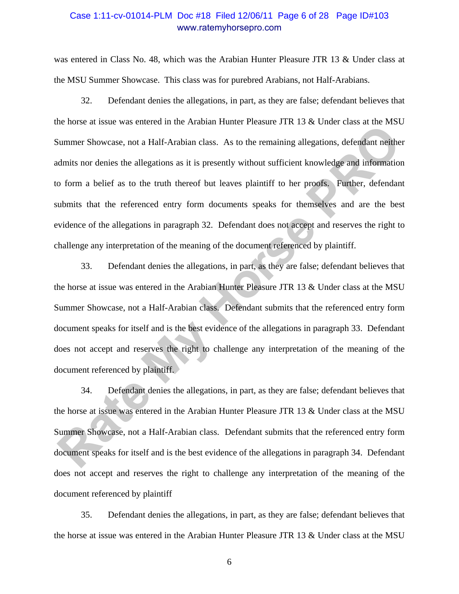### Case 1:11-cv-01014-PLM Doc #18 Filed 12/06/11 Page 6 of 28 Page ID#103 www.ratemyhorsepro.com

was entered in Class No. 48, which was the Arabian Hunter Pleasure JTR 13 & Under class at the MSU Summer Showcase. This class was for purebred Arabians, not Half-Arabians.

32. Defendant denies the allegations, in part, as they are false; defendant believes that the horse at issue was entered in the Arabian Hunter Pleasure JTR 13 & Under class at the MSU Summer Showcase, not a Half-Arabian class. As to the remaining allegations, defendant neither admits nor denies the allegations as it is presently without sufficient knowledge and information to form a belief as to the truth thereof but leaves plaintiff to her proofs. Further, defendant submits that the referenced entry form documents speaks for themselves and are the best evidence of the allegations in paragraph 32. Defendant does not accept and reserves the right to challenge any interpretation of the meaning of the document referenced by plaintiff. Example Thowcase, not a Half-Arabian class. As to the remaining allegations, defendant neither<br>
Summer Showcase, not a Half-Arabian class. As to the remaining allegations, defendant neither<br>
dmits nor denies the allegation

33. Defendant denies the allegations, in part, as they are false; defendant believes that the horse at issue was entered in the Arabian Hunter Pleasure JTR 13 & Under class at the MSU Summer Showcase, not a Half-Arabian class. Defendant submits that the referenced entry form document speaks for itself and is the best evidence of the allegations in paragraph 33. Defendant does not accept and reserves the right to challenge any interpretation of the meaning of the document referenced by plaintiff.

34. Defendant denies the allegations, in part, as they are false; defendant believes that the horse at issue was entered in the Arabian Hunter Pleasure JTR 13 & Under class at the MSU Summer Showcase, not a Half-Arabian class. Defendant submits that the referenced entry form document speaks for itself and is the best evidence of the allegations in paragraph 34. Defendant does not accept and reserves the right to challenge any interpretation of the meaning of the document referenced by plaintiff

35. Defendant denies the allegations, in part, as they are false; defendant believes that the horse at issue was entered in the Arabian Hunter Pleasure JTR 13 & Under class at the MSU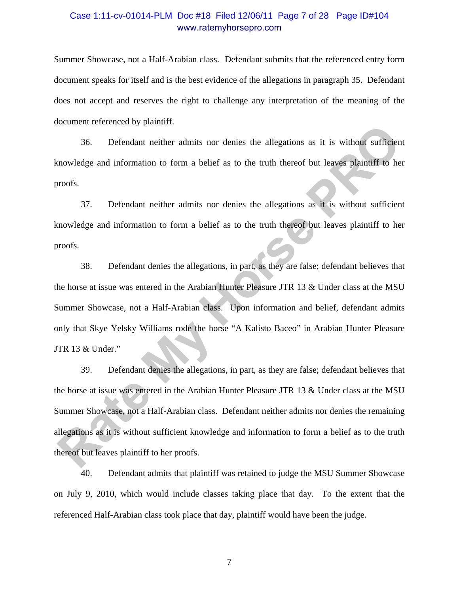### Case 1:11-cv-01014-PLM Doc #18 Filed 12/06/11 Page 7 of 28 Page ID#104 www.ratemyhorsepro.com

Summer Showcase, not a Half-Arabian class. Defendant submits that the referenced entry form document speaks for itself and is the best evidence of the allegations in paragraph 35. Defendant does not accept and reserves the right to challenge any interpretation of the meaning of the document referenced by plaintiff.

36. Defendant neither admits nor denies the allegations as it is without sufficient knowledge and information to form a belief as to the truth thereof but leaves plaintiff to her proofs.

37. Defendant neither admits nor denies the allegations as it is without sufficient knowledge and information to form a belief as to the truth thereof but leaves plaintiff to her proofs.

38. Defendant denies the allegations, in part, as they are false; defendant believes that the horse at issue was entered in the Arabian Hunter Pleasure JTR 13 & Under class at the MSU Summer Showcase, not a Half-Arabian class. Upon information and belief, defendant admits only that Skye Yelsky Williams rode the horse "A Kalisto Baceo" in Arabian Hunter Pleasure JTR 13 & Under."

39. Defendant denies the allegations, in part, as they are false; defendant believes that the horse at issue was entered in the Arabian Hunter Pleasure JTR 13 & Under class at the MSU Summer Showcase, not a Half-Arabian class. Defendant neither admits nor denies the remaining allegations as it is without sufficient knowledge and information to form a belief as to the truth thereof but leaves plaintiff to her proofs. **Rate Associated Complementation** of putations and information to form a belief as to the truth thereof but leaves plaintiff to he proofs.<br> **Rate Associates** and information to form a belief as to the truth thereof but lea

40. Defendant admits that plaintiff was retained to judge the MSU Summer Showcase on July 9, 2010, which would include classes taking place that day. To the extent that the referenced Half-Arabian class took place that day, plaintiff would have been the judge.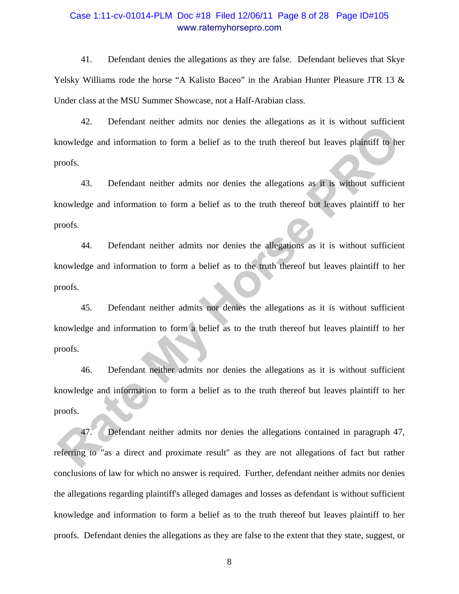### Case 1:11-cv-01014-PLM Doc #18 Filed 12/06/11 Page 8 of 28 Page ID#105 www.ratemyhorsepro.com

41. Defendant denies the allegations as they are false. Defendant believes that Skye Yelsky Williams rode the horse "A Kalisto Baceo" in the Arabian Hunter Pleasure JTR 13  $\&$ Under class at the MSU Summer Showcase, not a Half-Arabian class.

42. Defendant neither admits nor denies the allegations as it is without sufficient knowledge and information to form a belief as to the truth thereof but leaves plaintiff to her proofs.

43. Defendant neither admits nor denies the allegations as it is without sufficient knowledge and information to form a belief as to the truth thereof but leaves plaintiff to her proofs.

44. Defendant neither admits nor denies the allegations as it is without sufficient knowledge and information to form a belief as to the truth thereof but leaves plaintiff to her proofs. **Rate Constrainer Constrainers** and comes the imagination of a reaction structure of the transmoveledge and information to form a belief as to the truth thereof but leaves plaintiff to he roods.<br>
43. Defendant neither admi

45. Defendant neither admits nor denies the allegations as it is without sufficient knowledge and information to form a belief as to the truth thereof but leaves plaintiff to her proofs.

46. Defendant neither admits nor denies the allegations as it is without sufficient knowledge and information to form a belief as to the truth thereof but leaves plaintiff to her proofs.

47. Defendant neither admits nor denies the allegations contained in paragraph 47, referring to "as a direct and proximate result" as they are not allegations of fact but rather conclusions of law for which no answer is required. Further, defendant neither admits nor denies the allegations regarding plaintiff's alleged damages and losses as defendant is without sufficient knowledge and information to form a belief as to the truth thereof but leaves plaintiff to her proofs. Defendant denies the allegations as they are false to the extent that they state, suggest, or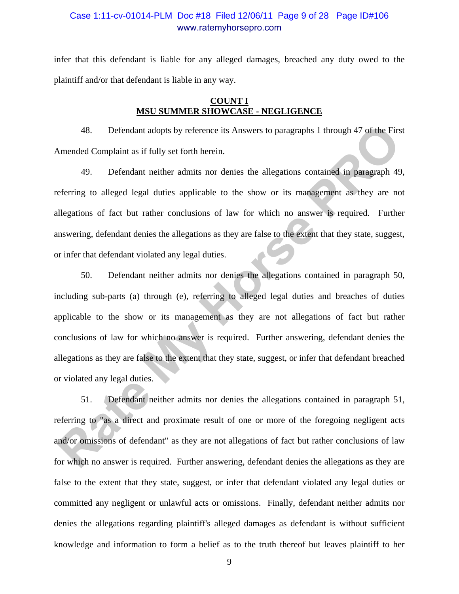### Case 1:11-cv-01014-PLM Doc #18 Filed 12/06/11 Page 9 of 28 Page ID#106 www.ratemyhorsepro.com

infer that this defendant is liable for any alleged damages, breached any duty owed to the plaintiff and/or that defendant is liable in any way.

#### **COUNT I MSU SUMMER SHOWCASE - NEGLIGENCE**

48. Defendant adopts by reference its Answers to paragraphs 1 through 47 of the First Amended Complaint as if fully set forth herein.

49. Defendant neither admits nor denies the allegations contained in paragraph 49, referring to alleged legal duties applicable to the show or its management as they are not allegations of fact but rather conclusions of law for which no answer is required. Further answering, defendant denies the allegations as they are false to the extent that they state, suggest, or infer that defendant violated any legal duties.

50. Defendant neither admits nor denies the allegations contained in paragraph 50, including sub-parts (a) through (e), referring to alleged legal duties and breaches of duties applicable to the show or its management as they are not allegations of fact but rather conclusions of law for which no answer is required. Further answering, defendant denies the allegations as they are false to the extent that they state, suggest, or infer that defendant breached or violated any legal duties. 48. Defendant adopts by reference its Answers to paragraphs 1 through 47 of the First<br>Amended Complaint as if fully set forth herein.<br>49. Defendant neither admits nor denies the allegations contained in paragraph 49<br>eferri

51. Defendant neither admits nor denies the allegations contained in paragraph 51, referring to "as a direct and proximate result of one or more of the foregoing negligent acts and/or omissions of defendant" as they are not allegations of fact but rather conclusions of law for which no answer is required. Further answering, defendant denies the allegations as they are false to the extent that they state, suggest, or infer that defendant violated any legal duties or committed any negligent or unlawful acts or omissions. Finally, defendant neither admits nor denies the allegations regarding plaintiff's alleged damages as defendant is without sufficient knowledge and information to form a belief as to the truth thereof but leaves plaintiff to her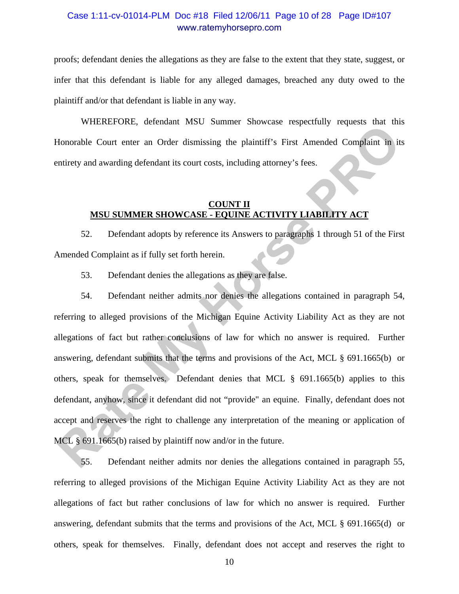### Case 1:11-cv-01014-PLM Doc #18 Filed 12/06/11 Page 10 of 28 Page ID#107 www.ratemyhorsepro.com

proofs; defendant denies the allegations as they are false to the extent that they state, suggest, or infer that this defendant is liable for any alleged damages, breached any duty owed to the plaintiff and/or that defendant is liable in any way.

WHEREFORE, defendant MSU Summer Showcase respectfully requests that this Honorable Court enter an Order dismissing the plaintiff's First Amended Complaint in its entirety and awarding defendant its court costs, including attorney's fees.

#### **COUNT II MSU SUMMER SHOWCASE - EQUINE ACTIVITY LIABILITY ACT**

52. Defendant adopts by reference its Answers to paragraphs 1 through 51 of the First Amended Complaint as if fully set forth herein.

53. Defendant denies the allegations as they are false.

54. Defendant neither admits nor denies the allegations contained in paragraph 54, referring to alleged provisions of the Michigan Equine Activity Liability Act as they are not allegations of fact but rather conclusions of law for which no answer is required. Further answering, defendant submits that the terms and provisions of the Act, MCL § 691.1665(b) or others, speak for themselves. Defendant denies that MCL § 691.1665(b) applies to this defendant, anyhow, since it defendant did not "provide" an equine. Finally, defendant does not accept and reserves the right to challenge any interpretation of the meaning or application of MCL § 691.1665(b) raised by plaintiff now and/or in the future. Franchise of the technomic more bunning bundles respectively requests can<br>alternatively and awarding defendant its court costs, including attorney's fees.<br> **RASU SUMMER SHOWCASE - EQUINE ACTIVITY LIABILATY ACT**<br> **RATE MY M** 

55. Defendant neither admits nor denies the allegations contained in paragraph 55, referring to alleged provisions of the Michigan Equine Activity Liability Act as they are not allegations of fact but rather conclusions of law for which no answer is required. Further answering, defendant submits that the terms and provisions of the Act, MCL § 691.1665(d) or others, speak for themselves. Finally, defendant does not accept and reserves the right to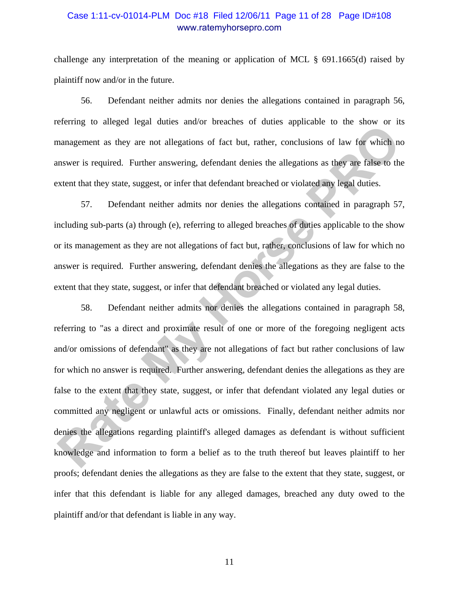### Case 1:11-cv-01014-PLM Doc #18 Filed 12/06/11 Page 11 of 28 Page ID#108 www.ratemyhorsepro.com

challenge any interpretation of the meaning or application of MCL § 691.1665(d) raised by plaintiff now and/or in the future.

56. Defendant neither admits nor denies the allegations contained in paragraph 56, referring to alleged legal duties and/or breaches of duties applicable to the show or its management as they are not allegations of fact but, rather, conclusions of law for which no answer is required. Further answering, defendant denies the allegations as they are false to the extent that they state, suggest, or infer that defendant breached or violated any legal duties.

57. Defendant neither admits nor denies the allegations contained in paragraph 57, including sub-parts (a) through (e), referring to alleged breaches of duties applicable to the show or its management as they are not allegations of fact but, rather, conclusions of law for which no answer is required. Further answering, defendant denies the allegations as they are false to the extent that they state, suggest, or infer that defendant breached or violated any legal duties.

58. Defendant neither admits nor denies the allegations contained in paragraph 58, referring to "as a direct and proximate result of one or more of the foregoing negligent acts and/or omissions of defendant" as they are not allegations of fact but rather conclusions of law for which no answer is required. Further answering, defendant denies the allegations as they are false to the extent that they state, suggest, or infer that defendant violated any legal duties or committed any negligent or unlawful acts or omissions. Finally, defendant neither admits nor denies the allegations regarding plaintiff's alleged damages as defendant is without sufficient knowledge and information to form a belief as to the truth thereof but leaves plaintiff to her proofs; defendant denies the allegations as they are false to the extent that they state, suggest, or infer that this defendant is liable for any alleged damages, breached any duty owed to the plaintiff and/or that defendant is liable in any way. Extring to analyst eigen otracs amoto breatenes or otracs applicant to the anothelic management as they are not allegations of fact but, rather, conclusions of law for which nears weris required. Further answering, defenda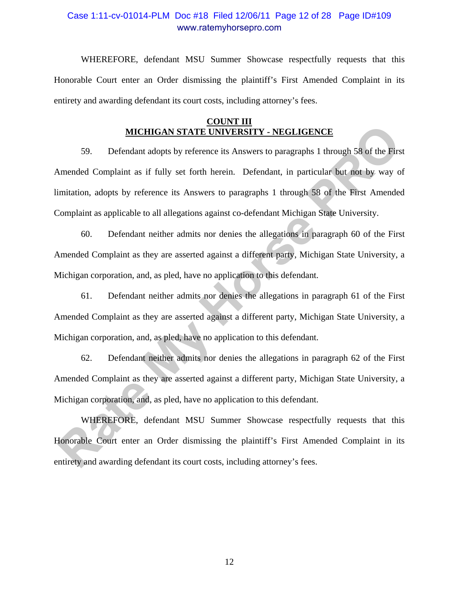### Case 1:11-cv-01014-PLM Doc #18 Filed 12/06/11 Page 12 of 28 Page ID#109 www.ratemyhorsepro.com

 WHEREFORE, defendant MSU Summer Showcase respectfully requests that this Honorable Court enter an Order dismissing the plaintiff's First Amended Complaint in its entirety and awarding defendant its court costs, including attorney's fees.

#### **COUNT III MICHIGAN STATE UNIVERSITY - NEGLIGENCE**

59. Defendant adopts by reference its Answers to paragraphs 1 through 58 of the First Amended Complaint as if fully set forth herein. Defendant, in particular but not by way of limitation, adopts by reference its Answers to paragraphs 1 through 58 of the First Amended Complaint as applicable to all allegations against co-defendant Michigan State University. **EXECT THE STATE UNIVERSITY - NEGLIGENCE**<br>
59. Defendant adopts by reference its Answers to paragraphs 1 through 58 of the First<br>
Amended Complaint as if fully set forth herein. Defendant, in particular but not by way o<br>
i

60. Defendant neither admits nor denies the allegations in paragraph 60 of the First Amended Complaint as they are asserted against a different party, Michigan State University, a Michigan corporation, and, as pled, have no application to this defendant.

61. Defendant neither admits nor denies the allegations in paragraph 61 of the First Amended Complaint as they are asserted against a different party, Michigan State University, a Michigan corporation, and, as pled, have no application to this defendant.

62. Defendant neither admits nor denies the allegations in paragraph 62 of the First Amended Complaint as they are asserted against a different party, Michigan State University, a Michigan corporation, and, as pled, have no application to this defendant.

WHEREFORE, defendant MSU Summer Showcase respectfully requests that this Honorable Court enter an Order dismissing the plaintiff's First Amended Complaint in its entirety and awarding defendant its court costs, including attorney's fees.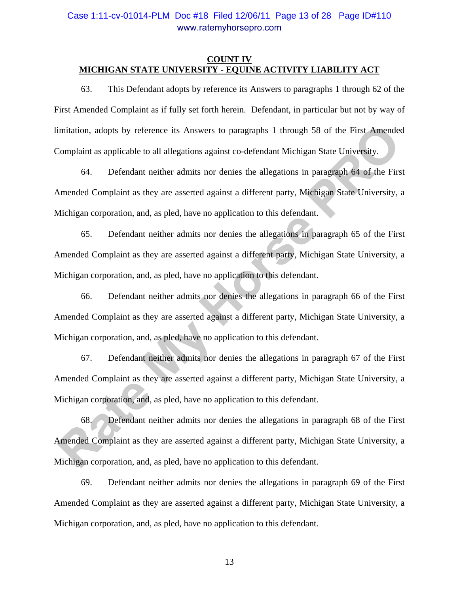### Case 1:11-cv-01014-PLM Doc #18 Filed 12/06/11 Page 13 of 28 Page ID#110 www.ratemyhorsepro.com

#### **COUNT IV MICHIGAN STATE UNIVERSITY - EQUINE ACTIVITY LIABILITY ACT**

63. This Defendant adopts by reference its Answers to paragraphs 1 through 62 of the First Amended Complaint as if fully set forth herein. Defendant, in particular but not by way of limitation, adopts by reference its Answers to paragraphs 1 through 58 of the First Amended Complaint as applicable to all allegations against co-defendant Michigan State University.

64. Defendant neither admits nor denies the allegations in paragraph 64 of the First Amended Complaint as they are asserted against a different party, Michigan State University, a Michigan corporation, and, as pled, have no application to this defendant.

65. Defendant neither admits nor denies the allegations in paragraph 65 of the First Amended Complaint as they are asserted against a different party, Michigan State University, a Michigan corporation, and, as pled, have no application to this defendant.

66. Defendant neither admits nor denies the allegations in paragraph 66 of the First Amended Complaint as they are asserted against a different party, Michigan State University, a Michigan corporation, and, as pled, have no application to this defendant.

67. Defendant neither admits nor denies the allegations in paragraph 67 of the First Amended Complaint as they are asserted against a different party, Michigan State University, a Michigan corporation, and, as pled, have no application to this defendant.

68. Defendant neither admits nor denies the allegations in paragraph 68 of the First Amended Complaint as they are asserted against a different party, Michigan State University, a Michigan corporation, and, as pled, have no application to this defendant. imitation, adopts by reference its Answers to paragraphs 1 through 58 of the First Amended<br>
Complaint as applicable to all allegations against co-defendant Michigan State University.<br>
64. Defendant neither admits nor denie

69. Defendant neither admits nor denies the allegations in paragraph 69 of the First Amended Complaint as they are asserted against a different party, Michigan State University, a Michigan corporation, and, as pled, have no application to this defendant.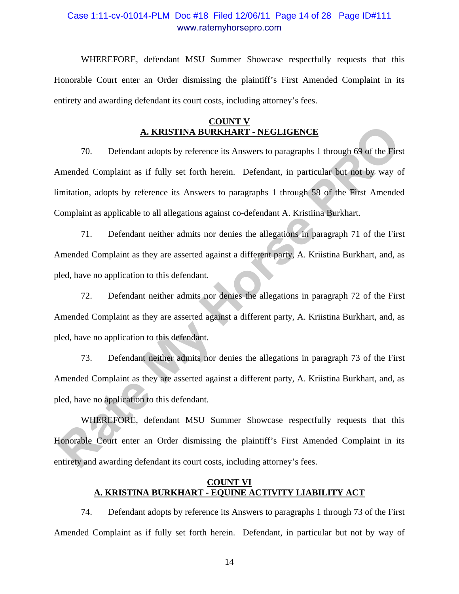### Case 1:11-cv-01014-PLM Doc #18 Filed 12/06/11 Page 14 of 28 Page ID#111 www.ratemyhorsepro.com

WHEREFORE, defendant MSU Summer Showcase respectfully requests that this Honorable Court enter an Order dismissing the plaintiff's First Amended Complaint in its entirety and awarding defendant its court costs, including attorney's fees.

#### **COUNT V A. KRISTINA BURKHART - NEGLIGENCE**

70. Defendant adopts by reference its Answers to paragraphs 1 through 69 of the First Amended Complaint as if fully set forth herein. Defendant, in particular but not by way of limitation, adopts by reference its Answers to paragraphs 1 through 58 of the First Amended Complaint as applicable to all allegations against co-defendant A. Kristiina Burkhart. **A. KRISTINA BURKHART - NEGLIGENCE**<br>
70. Defendant adopts by reference its Answers to paragraphs 1 through 69 of the First<br>
Numeraled Complaint as if fully set forth herein. Defendant, in particular but not by way o<br>
imita

71. Defendant neither admits nor denies the allegations in paragraph 71 of the First Amended Complaint as they are asserted against a different party, A. Kriistina Burkhart, and, as pled, have no application to this defendant.

72. Defendant neither admits nor denies the allegations in paragraph 72 of the First Amended Complaint as they are asserted against a different party, A. Kriistina Burkhart, and, as pled, have no application to this defendant.

73. Defendant neither admits nor denies the allegations in paragraph 73 of the First Amended Complaint as they are asserted against a different party, A. Kriistina Burkhart, and, as pled, have no application to this defendant.

WHEREFORE, defendant MSU Summer Showcase respectfully requests that this Honorable Court enter an Order dismissing the plaintiff's First Amended Complaint in its entirety and awarding defendant its court costs, including attorney's fees.

#### **COUNT VI A. KRISTINA BURKHART - EQUINE ACTIVITY LIABILITY ACT**

74. Defendant adopts by reference its Answers to paragraphs 1 through 73 of the First Amended Complaint as if fully set forth herein. Defendant, in particular but not by way of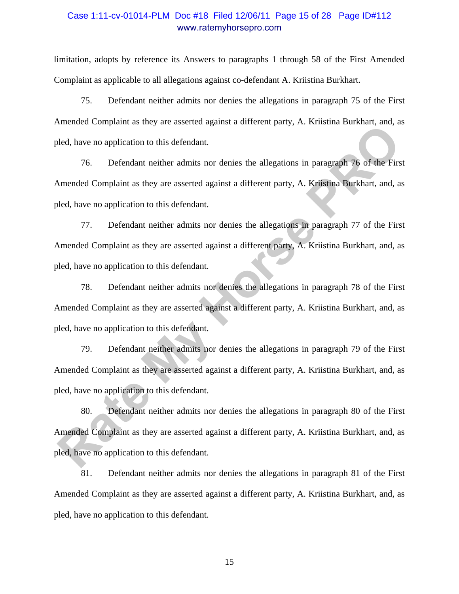### Case 1:11-cv-01014-PLM Doc #18 Filed 12/06/11 Page 15 of 28 Page ID#112 www.ratemyhorsepro.com

limitation, adopts by reference its Answers to paragraphs 1 through 58 of the First Amended Complaint as applicable to all allegations against co-defendant A. Kriistina Burkhart.

75. Defendant neither admits nor denies the allegations in paragraph 75 of the First Amended Complaint as they are asserted against a different party, A. Kriistina Burkhart, and, as pled, have no application to this defendant.

76. Defendant neither admits nor denies the allegations in paragraph 76 of the First Amended Complaint as they are asserted against a different party, A. Kriistina Burkhart, and, as pled, have no application to this defendant.

77. Defendant neither admits nor denies the allegations in paragraph 77 of the First Amended Complaint as they are asserted against a different party, A. Kriistina Burkhart, and, as pled, have no application to this defendant. mented Complaint as they are asserted against a officient platy, *Kr. Kritishin Borkman inclused*, they are original relations for the distance of the distancement of the distancement of Complaint as they are asserted agai

78. Defendant neither admits nor denies the allegations in paragraph 78 of the First Amended Complaint as they are asserted against a different party, A. Kriistina Burkhart, and, as pled, have no application to this defendant.

79. Defendant neither admits nor denies the allegations in paragraph 79 of the First Amended Complaint as they are asserted against a different party, A. Kriistina Burkhart, and, as pled, have no application to this defendant.

80. Defendant neither admits nor denies the allegations in paragraph 80 of the First Amended Complaint as they are asserted against a different party, A. Kriistina Burkhart, and, as pled, have no application to this defendant.

81. Defendant neither admits nor denies the allegations in paragraph 81 of the First Amended Complaint as they are asserted against a different party, A. Kriistina Burkhart, and, as pled, have no application to this defendant.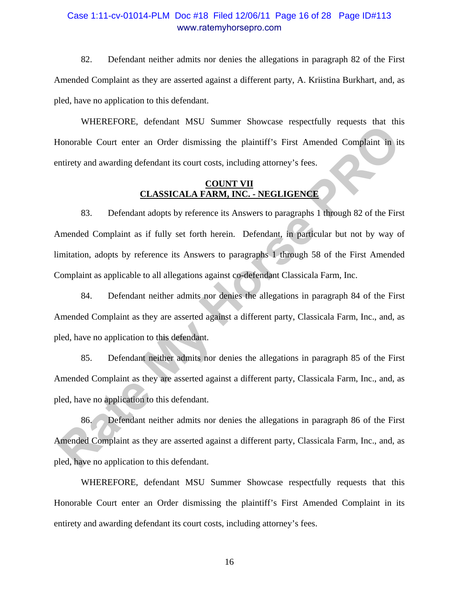### Case 1:11-cv-01014-PLM Doc #18 Filed 12/06/11 Page 16 of 28 Page ID#113 www.ratemyhorsepro.com

82. Defendant neither admits nor denies the allegations in paragraph 82 of the First Amended Complaint as they are asserted against a different party, A. Kriistina Burkhart, and, as pled, have no application to this defendant.

WHEREFORE, defendant MSU Summer Showcase respectfully requests that this Honorable Court enter an Order dismissing the plaintiff's First Amended Complaint in its entirety and awarding defendant its court costs, including attorney's fees.

#### **COUNT VII CLASSICALA FARM, INC. - NEGLIGENCE**

83. Defendant adopts by reference its Answers to paragraphs 1 through 82 of the First Amended Complaint as if fully set forth herein. Defendant, in particular but not by way of limitation, adopts by reference its Answers to paragraphs 1 through 58 of the First Amended Complaint as applicable to all allegations against co-defendant Classicala Farm, Inc. Francel Ord, becausal Pinote Distribution Proposes can uniformated Complaint in its<br> **Rate My Horse Proposes** (COUNT **VIII**) and awarding defendant its court costs, including attorney's fees.<br> **CLASSICALA FARM, INC.** - NEG

84. Defendant neither admits nor denies the allegations in paragraph 84 of the First Amended Complaint as they are asserted against a different party, Classicala Farm, Inc., and, as pled, have no application to this defendant.

85. Defendant neither admits nor denies the allegations in paragraph 85 of the First Amended Complaint as they are asserted against a different party, Classicala Farm, Inc., and, as pled, have no application to this defendant.

86. Defendant neither admits nor denies the allegations in paragraph 86 of the First Amended Complaint as they are asserted against a different party, Classicala Farm, Inc., and, as pled, have no application to this defendant.

WHEREFORE, defendant MSU Summer Showcase respectfully requests that this Honorable Court enter an Order dismissing the plaintiff's First Amended Complaint in its entirety and awarding defendant its court costs, including attorney's fees.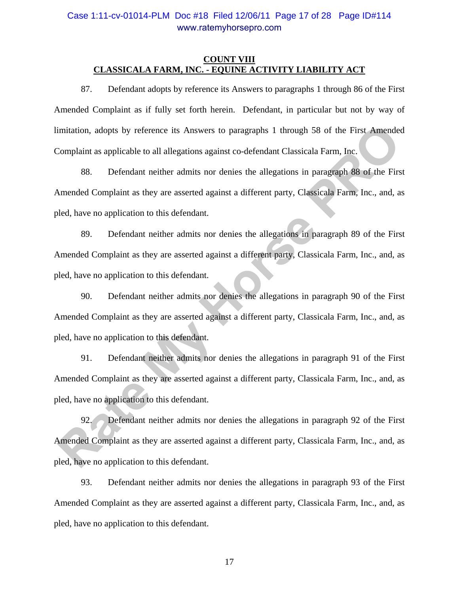### Case 1:11-cv-01014-PLM Doc #18 Filed 12/06/11 Page 17 of 28 Page ID#114 www.ratemyhorsepro.com

#### **COUNT VIII CLASSICALA FARM, INC. - EQUINE ACTIVITY LIABILITY ACT**

87. Defendant adopts by reference its Answers to paragraphs 1 through 86 of the First Amended Complaint as if fully set forth herein. Defendant, in particular but not by way of limitation, adopts by reference its Answers to paragraphs 1 through 58 of the First Amended Complaint as applicable to all allegations against co-defendant Classicala Farm, Inc.

88. Defendant neither admits nor denies the allegations in paragraph 88 of the First Amended Complaint as they are asserted against a different party, Classicala Farm, Inc., and, as pled, have no application to this defendant.

89. Defendant neither admits nor denies the allegations in paragraph 89 of the First Amended Complaint as they are asserted against a different party, Classicala Farm, Inc., and, as pled, have no application to this defendant. mitation, adopts by reference its Answers to paragraphs 1 through 58 of the First Amended<br>
Complaint as applicable to all allegations against co-defendant Classicala Farm, Inc.<br>
88. Defendant neither admits nor denies the

90. Defendant neither admits nor denies the allegations in paragraph 90 of the First Amended Complaint as they are asserted against a different party, Classicala Farm, Inc., and, as pled, have no application to this defendant.

91. Defendant neither admits nor denies the allegations in paragraph 91 of the First Amended Complaint as they are asserted against a different party, Classicala Farm, Inc., and, as pled, have no application to this defendant.

92. Defendant neither admits nor denies the allegations in paragraph 92 of the First Amended Complaint as they are asserted against a different party, Classicala Farm, Inc., and, as pled, have no application to this defendant.

93. Defendant neither admits nor denies the allegations in paragraph 93 of the First Amended Complaint as they are asserted against a different party, Classicala Farm, Inc., and, as pled, have no application to this defendant.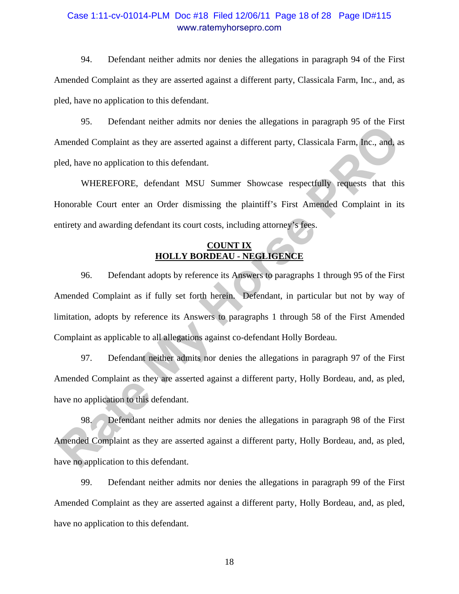### Case 1:11-cv-01014-PLM Doc #18 Filed 12/06/11 Page 18 of 28 Page ID#115 www.ratemyhorsepro.com

94. Defendant neither admits nor denies the allegations in paragraph 94 of the First Amended Complaint as they are asserted against a different party, Classicala Farm, Inc., and, as pled, have no application to this defendant.

95. Defendant neither admits nor denies the allegations in paragraph 95 of the First Amended Complaint as they are asserted against a different party, Classicala Farm, Inc., and, as pled, have no application to this defendant.

WHEREFORE, defendant MSU Summer Showcase respectfully requests that this Honorable Court enter an Order dismissing the plaintiff's First Amended Complaint in its entirety and awarding defendant its court costs, including attorney's fees.

#### **COUNT IX HOLLY BORDEAU - NEGLIGENCE**

96. Defendant adopts by reference its Answers to paragraphs 1 through 95 of the First Amended Complaint as if fully set forth herein. Defendant, in particular but not by way of limitation, adopts by reference its Answers to paragraphs 1 through 58 of the First Amended Complaint as applicable to all allegations against co-defendant Holly Bordeau. 22. **Excellentary** tender tender of states are anogeneous in paragona 22 octies. In<br>Simended Complaint as they are asserted against a different party, Classicala Farm, Inc., and, as<br>eled, have no application to this defend

97. Defendant neither admits nor denies the allegations in paragraph 97 of the First Amended Complaint as they are asserted against a different party, Holly Bordeau, and, as pled, have no application to this defendant.

98. Defendant neither admits nor denies the allegations in paragraph 98 of the First Amended Complaint as they are asserted against a different party, Holly Bordeau, and, as pled, have no application to this defendant.

99. Defendant neither admits nor denies the allegations in paragraph 99 of the First Amended Complaint as they are asserted against a different party, Holly Bordeau, and, as pled, have no application to this defendant.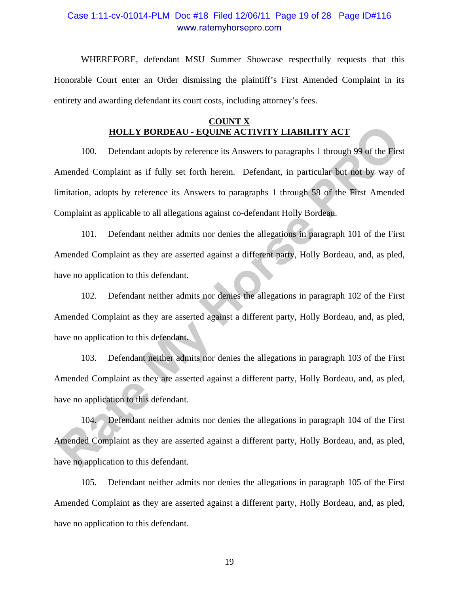### Case 1:11-cv-01014-PLM Doc #18 Filed 12/06/11 Page 19 of 28 Page ID#116 www.ratemyhorsepro.com

WHEREFORE, defendant MSU Summer Showcase respectfully requests that this Honorable Court enter an Order dismissing the plaintiff's First Amended Complaint in its entirety and awarding defendant its court costs, including attorney's fees.

#### **COUNT X HOLLY BORDEAU - EQUINE ACTIVITY LIABILITY ACT**

100. Defendant adopts by reference its Answers to paragraphs 1 through 99 of the First Amended Complaint as if fully set forth herein. Defendant, in particular but not by way of limitation, adopts by reference its Answers to paragraphs 1 through 58 of the First Amended Complaint as applicable to all allegations against co-defendant Holly Bordeau. **HOLLY BORDEAU - EQUINE ACTIVITY LIABILITY ACT**<br>100. Defendant adopts by reference its Answers to paragraphs 1 through 99 of the First<br>Amended Complaint as if fully set forth herein. Defendant, in particular but not by way

101. Defendant neither admits nor denies the allegations in paragraph 101 of the First Amended Complaint as they are asserted against a different party, Holly Bordeau, and, as pled, have no application to this defendant.

102. Defendant neither admits nor denies the allegations in paragraph 102 of the First Amended Complaint as they are asserted against a different party, Holly Bordeau, and, as pled, have no application to this defendant.

103. Defendant neither admits nor denies the allegations in paragraph 103 of the First Amended Complaint as they are asserted against a different party, Holly Bordeau, and, as pled, have no application to this defendant.

104. Defendant neither admits nor denies the allegations in paragraph 104 of the First Amended Complaint as they are asserted against a different party, Holly Bordeau, and, as pled, have no application to this defendant.

105. Defendant neither admits nor denies the allegations in paragraph 105 of the First Amended Complaint as they are asserted against a different party, Holly Bordeau, and, as pled, have no application to this defendant.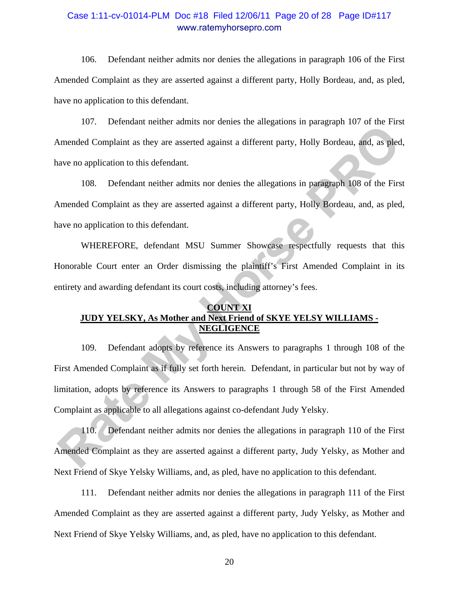### Case 1:11-cv-01014-PLM Doc #18 Filed 12/06/11 Page 20 of 28 Page ID#117 www.ratemyhorsepro.com

106. Defendant neither admits nor denies the allegations in paragraph 106 of the First Amended Complaint as they are asserted against a different party, Holly Bordeau, and, as pled, have no application to this defendant.

107. Defendant neither admits nor denies the allegations in paragraph 107 of the First Amended Complaint as they are asserted against a different party, Holly Bordeau, and, as pled, have no application to this defendant.

108. Defendant neither admits nor denies the allegations in paragraph 108 of the First Amended Complaint as they are asserted against a different party, Holly Bordeau, and, as pled, have no application to this defendant.

WHEREFORE, defendant MSU Summer Showcase respectfully requests that this Honorable Court enter an Order dismissing the plaintiff's First Amended Complaint in its entirety and awarding defendant its court costs, including attorney's fees.

#### **COUNT XI JUDY YELSKY, As Mother and Next Friend of SKYE YELSY WILLIAMS - NEGLIGENCE**

109. Defendant adopts by reference its Answers to paragraphs 1 through 108 of the First Amended Complaint as if fully set forth herein. Defendant, in particular but not by way of limitation, adopts by reference its Answers to paragraphs 1 through 58 of the First Amended Complaint as applicable to all allegations against co-defendant Judy Yelsky. From Members and the state and the state and space and space and space of the First Amended Complaint as they are asserted against a different party, Holly Bordeau, and, as pled<br>ave no application to this defendant.<br>
108.

110. Defendant neither admits nor denies the allegations in paragraph 110 of the First Amended Complaint as they are asserted against a different party, Judy Yelsky, as Mother and Next Friend of Skye Yelsky Williams, and, as pled, have no application to this defendant.

111. Defendant neither admits nor denies the allegations in paragraph 111 of the First Amended Complaint as they are asserted against a different party, Judy Yelsky, as Mother and Next Friend of Skye Yelsky Williams, and, as pled, have no application to this defendant.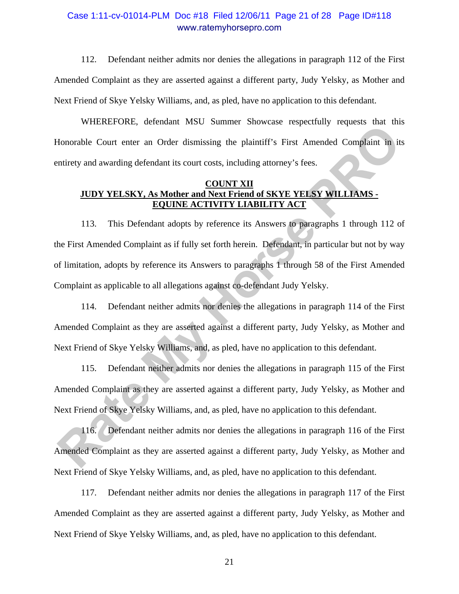### Case 1:11-cv-01014-PLM Doc #18 Filed 12/06/11 Page 21 of 28 Page ID#118 www.ratemyhorsepro.com

112. Defendant neither admits nor denies the allegations in paragraph 112 of the First Amended Complaint as they are asserted against a different party, Judy Yelsky, as Mother and Next Friend of Skye Yelsky Williams, and, as pled, have no application to this defendant.

WHEREFORE, defendant MSU Summer Showcase respectfully requests that this Honorable Court enter an Order dismissing the plaintiff's First Amended Complaint in its entirety and awarding defendant its court costs, including attorney's fees.

#### **COUNT XII JUDY YELSKY, As Mother and Next Friend of SKYE YELSY WILLIAMS - EQUINE ACTIVITY LIABILITY ACT**

113. This Defendant adopts by reference its Answers to paragraphs 1 through 112 of the First Amended Complaint as if fully set forth herein. Defendant, in particular but not by way of limitation, adopts by reference its Answers to paragraphs 1 through 58 of the First Amended Complaint as applicable to all allegations against co-defendant Judy Yelsky. For the Cock of the Columbia of the Columbia of the plaintiff's First Amended Complaint in its<br>
Rotation and awarding defendant its court costs, including attorney's fees.<br> **RATE ART AND MANUARY AND MANUARY ART AND MANUARY** 

114. Defendant neither admits nor denies the allegations in paragraph 114 of the First Amended Complaint as they are asserted against a different party, Judy Yelsky, as Mother and Next Friend of Skye Yelsky Williams, and, as pled, have no application to this defendant.

115. Defendant neither admits nor denies the allegations in paragraph 115 of the First Amended Complaint as they are asserted against a different party, Judy Yelsky, as Mother and Next Friend of Skye Yelsky Williams, and, as pled, have no application to this defendant.

116. Defendant neither admits nor denies the allegations in paragraph 116 of the First Amended Complaint as they are asserted against a different party, Judy Yelsky, as Mother and Next Friend of Skye Yelsky Williams, and, as pled, have no application to this defendant.

117. Defendant neither admits nor denies the allegations in paragraph 117 of the First Amended Complaint as they are asserted against a different party, Judy Yelsky, as Mother and Next Friend of Skye Yelsky Williams, and, as pled, have no application to this defendant.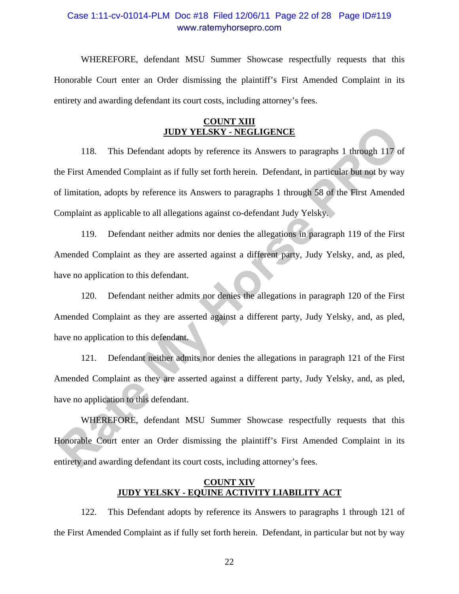### Case 1:11-cv-01014-PLM Doc #18 Filed 12/06/11 Page 22 of 28 Page ID#119 www.ratemyhorsepro.com

WHEREFORE, defendant MSU Summer Showcase respectfully requests that this Honorable Court enter an Order dismissing the plaintiff's First Amended Complaint in its entirety and awarding defendant its court costs, including attorney's fees.

#### **COUNT XIII JUDY YELSKY - NEGLIGENCE**

118. This Defendant adopts by reference its Answers to paragraphs 1 through 117 of the First Amended Complaint as if fully set forth herein. Defendant, in particular but not by way of limitation, adopts by reference its Answers to paragraphs 1 through 58 of the First Amended Complaint as applicable to all allegations against co-defendant Judy Yelsky. **<u>Rate Completion</u>** IDDY YELSKY - NEGLIGENCE<br>
118. This Defendant adopts by reference its Answers to paragraphs 1 through 117 of<br>
the First Amended Complaint as if fully set forth herein. Defendant, in particular but not b

119. Defendant neither admits nor denies the allegations in paragraph 119 of the First Amended Complaint as they are asserted against a different party, Judy Yelsky, and, as pled, have no application to this defendant.

120. Defendant neither admits nor denies the allegations in paragraph 120 of the First Amended Complaint as they are asserted against a different party, Judy Yelsky, and, as pled, have no application to this defendant.

121. Defendant neither admits nor denies the allegations in paragraph 121 of the First Amended Complaint as they are asserted against a different party, Judy Yelsky, and, as pled, have no application to this defendant.

WHEREFORE, defendant MSU Summer Showcase respectfully requests that this Honorable Court enter an Order dismissing the plaintiff's First Amended Complaint in its entirety and awarding defendant its court costs, including attorney's fees.

### **COUNT XIV JUDY YELSKY - EQUINE ACTIVITY LIABILITY ACT**

122. This Defendant adopts by reference its Answers to paragraphs 1 through 121 of the First Amended Complaint as if fully set forth herein. Defendant, in particular but not by way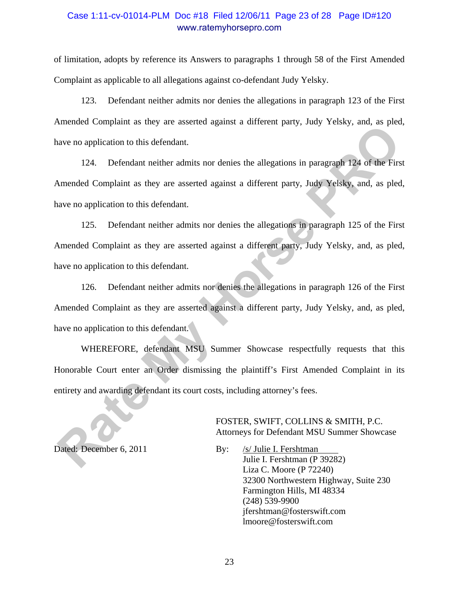### Case 1:11-cv-01014-PLM Doc #18 Filed 12/06/11 Page 23 of 28 Page ID#120 www.ratemyhorsepro.com

of limitation, adopts by reference its Answers to paragraphs 1 through 58 of the First Amended Complaint as applicable to all allegations against co-defendant Judy Yelsky.

123. Defendant neither admits nor denies the allegations in paragraph 123 of the First Amended Complaint as they are asserted against a different party, Judy Yelsky, and, as pled, have no application to this defendant.

124. Defendant neither admits nor denies the allegations in paragraph 124 of the First Amended Complaint as they are asserted against a different party, Judy Yelsky, and, as pled, have no application to this defendant.

125. Defendant neither admits nor denies the allegations in paragraph 125 of the First Amended Complaint as they are asserted against a different party, Judy Yelsky, and, as pled, have no application to this defendant. mented complication to this defendant.<br>
124. Defendant neither admits nor denies the allegations in paragraph 124 of the First<br>
21. Defendant neither admits nor denies the allegations in paragraph 124 of the First<br>
21. Def

126. Defendant neither admits nor denies the allegations in paragraph 126 of the First Amended Complaint as they are asserted against a different party, Judy Yelsky, and, as pled, have no application to this defendant.

WHEREFORE, defendant MSU Summer Showcase respectfully requests that this Honorable Court enter an Order dismissing the plaintiff's First Amended Complaint in its entirety and awarding defendant its court costs, including attorney's fees.

> FOSTER, SWIFT, COLLINS & SMITH, P.C. Attorneys for Defendant MSU Summer Showcase

Dated: December 6, 2011 By: /s/ Julie I. Fershtman Julie I. Fershtman (P 39282) Liza C. Moore (P 72240) 32300 Northwestern Highway, Suite 230 Farmington Hills, MI 48334 (248) 539-9900 jfershtman@fosterswift.com lmoore@fosterswift.com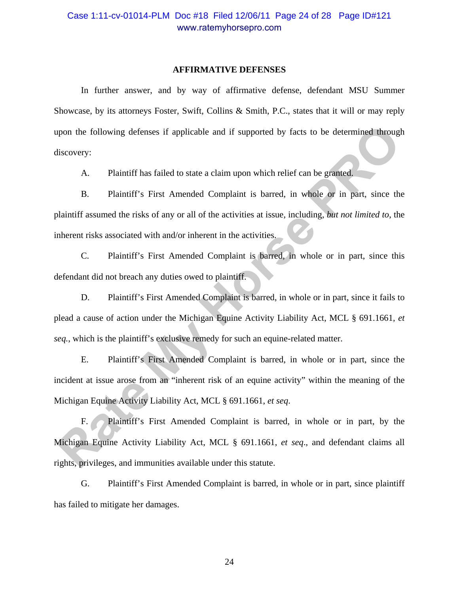#### **AFFIRMATIVE DEFENSES**

 In further answer, and by way of affirmative defense, defendant MSU Summer Showcase, by its attorneys Foster, Swift, Collins & Smith, P.C., states that it will or may reply upon the following defenses if applicable and if supported by facts to be determined through discovery:

A. Plaintiff has failed to state a claim upon which relief can be granted.

B. Plaintiff's First Amended Complaint is barred, in whole or in part, since the plaintiff assumed the risks of any or all of the activities at issue, including, *but not limited to*, the inherent risks associated with and/or inherent in the activities.

C. Plaintiff's First Amended Complaint is barred, in whole or in part, since this defendant did not breach any duties owed to plaintiff.

D. Plaintiff's First Amended Complaint is barred, in whole or in part, since it fails to plead a cause of action under the Michigan Equine Activity Liability Act, MCL § 691.1661, *et seq.*, which is the plaintiff's exclusive remedy for such an equine-related matter.

E. Plaintiff's First Amended Complaint is barred, in whole or in part, since the incident at issue arose from an "inherent risk of an equine activity" within the meaning of the Michigan Equine Activity Liability Act, MCL § 691.1661, *et seq*. France Collowing defenses if applicable and if supported by facts to be determined through<br>
Rate Sovery:<br>
A. Plaintiff has failed to state a claim upon which relief can be granted.<br>
B. Plaintiff's First Amended Complaint i

F. Plaintiff's First Amended Complaint is barred, in whole or in part, by the Michigan Equine Activity Liability Act, MCL § 691.1661, *et seq*., and defendant claims all rights, privileges, and immunities available under this statute.

G. Plaintiff's First Amended Complaint is barred, in whole or in part, since plaintiff has failed to mitigate her damages.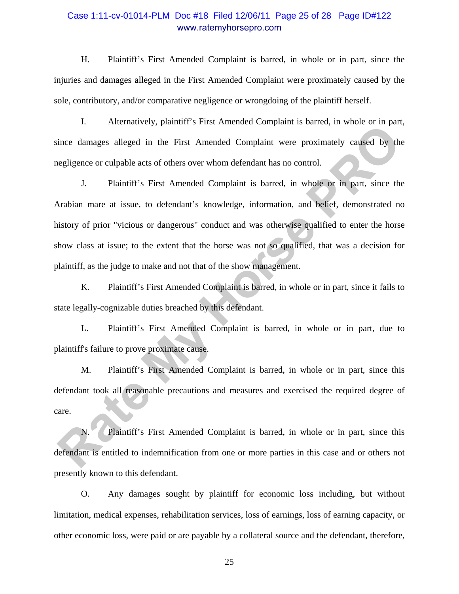### Case 1:11-cv-01014-PLM Doc #18 Filed 12/06/11 Page 25 of 28 Page ID#122 www.ratemyhorsepro.com

H. Plaintiff's First Amended Complaint is barred, in whole or in part, since the injuries and damages alleged in the First Amended Complaint were proximately caused by the sole, contributory, and/or comparative negligence or wrongdoing of the plaintiff herself.

I. Alternatively, plaintiff's First Amended Complaint is barred, in whole or in part, since damages alleged in the First Amended Complaint were proximately caused by the negligence or culpable acts of others over whom defendant has no control.

J. Plaintiff's First Amended Complaint is barred, in whole or in part, since the Arabian mare at issue, to defendant's knowledge, information, and belief, demonstrated no history of prior "vicious or dangerous" conduct and was otherwise qualified to enter the horse show class at issue; to the extent that the horse was not so qualified, that was a decision for plaintiff, as the judge to make and not that of the show management. **Rate Complete Complete Complete Complete Complete Complete Complete Complete Complete Complete Complete Complete Complete Complete Complete Complete Complete Complete Complete Complete Complete Complete Complete Complete** 

K. Plaintiff's First Amended Complaint is barred, in whole or in part, since it fails to state legally-cognizable duties breached by this defendant.

L. Plaintiff's First Amended Complaint is barred, in whole or in part, due to plaintiff's failure to prove proximate cause.

M. Plaintiff's First Amended Complaint is barred, in whole or in part, since this defendant took all reasonable precautions and measures and exercised the required degree of care.

N. Plaintiff's First Amended Complaint is barred, in whole or in part, since this defendant is entitled to indemnification from one or more parties in this case and or others not presently known to this defendant.

O. Any damages sought by plaintiff for economic loss including, but without limitation, medical expenses, rehabilitation services, loss of earnings, loss of earning capacity, or other economic loss, were paid or are payable by a collateral source and the defendant, therefore,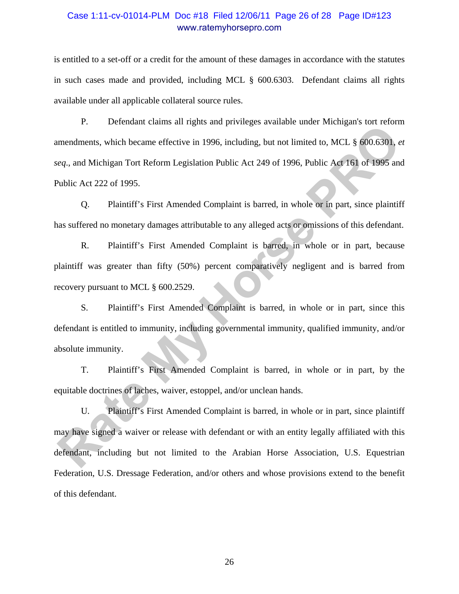### Case 1:11-cv-01014-PLM Doc #18 Filed 12/06/11 Page 26 of 28 Page ID#123 www.ratemyhorsepro.com

is entitled to a set-off or a credit for the amount of these damages in accordance with the statutes in such cases made and provided, including MCL § 600.6303. Defendant claims all rights available under all applicable collateral source rules.

P. Defendant claims all rights and privileges available under Michigan's tort reform amendments, which became effective in 1996, including, but not limited to, MCL § 600.6301, *et seq*., and Michigan Tort Reform Legislation Public Act 249 of 1996, Public Act 161 of 1995 and Public Act 222 of 1995. **Rate Associates Constant Constant Constant Constant Constant Constant Constant Constant Constant Constant Constant Constant Constant Constant Constant Constant Constant Constant Constant Constant Constant Constant Constan** 

Q. Plaintiff's First Amended Complaint is barred, in whole or in part, since plaintiff has suffered no monetary damages attributable to any alleged acts or omissions of this defendant.

R. Plaintiff's First Amended Complaint is barred, in whole or in part, because plaintiff was greater than fifty (50%) percent comparatively negligent and is barred from recovery pursuant to MCL § 600.2529.

S. Plaintiff's First Amended Complaint is barred, in whole or in part, since this defendant is entitled to immunity, including governmental immunity, qualified immunity, and/or absolute immunity.

T. Plaintiff's First Amended Complaint is barred, in whole or in part, by the equitable doctrines of laches, waiver, estoppel, and/or unclean hands.

U. Plaintiff's First Amended Complaint is barred, in whole or in part, since plaintiff may have signed a waiver or release with defendant or with an entity legally affiliated with this defendant, including but not limited to the Arabian Horse Association, U.S. Equestrian Federation, U.S. Dressage Federation, and/or others and whose provisions extend to the benefit of this defendant.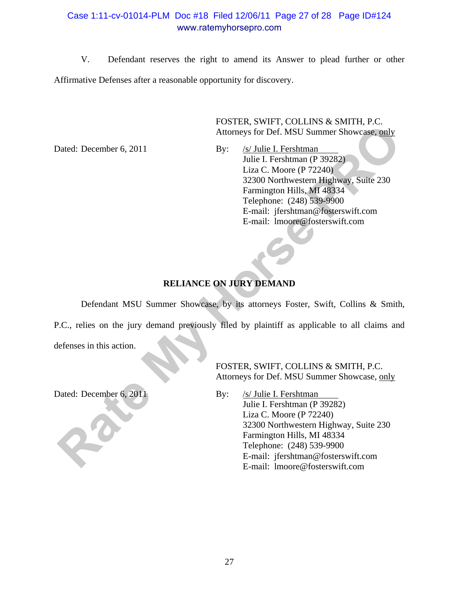# Case 1:11-cv-01014-PLM Doc #18 Filed 12/06/11 Page 27 of 28 Page ID#124 www.ratemyhorsepro.com

V. Defendant reserves the right to amend its Answer to plead further or other Affirmative Defenses after a reasonable opportunity for discovery.

> FOSTER, SWIFT, COLLINS & SMITH, P.C. Attorneys for Def. MSU Summer Showcase, only

Dated: December 6, 2011 By: /s/ Julie I. Fershtman Julie I. Fershtman (P 39282) Liza C. Moore (P 72240) 32300 Northwestern Highway, Suite 230 Farmington Hills, MI 48334 Telephone: (248) 539-9900 E-mail: jfershtman@fosterswift.com E-mail: lmoore@fosterswift.com **Rate Altoneys for Def. MSU Summer Showcase, only**<br>
Altoneys for Def. MSU Summer Showcase, only<br>
Julie I. Fershmann<br>
Julie I. Fershmann<br> *Rate 230*<br>
12200 Montwester Highway, Suite 230<br>
12200 Montwester Highway, Suite 230<br>

# **RELIANCE ON JURY DEMAND**

Defendant MSU Summer Showcase, by its attorneys Foster, Swift, Collins & Smith,

P.C., relies on the jury demand previously filed by plaintiff as applicable to all claims and defenses in this action.

 FOSTER, SWIFT, COLLINS & SMITH, P.C. Attorneys for Def. MSU Summer Showcase, only

Dated: December 6, 2011 By: /s/ Julie I. Fershtman Julie I. Fershtman (P 39282) Liza C. Moore (P 72240) 32300 Northwestern Highway, Suite 230 Farmington Hills, MI 48334 Telephone: (248) 539-9900 E-mail: jfershtman@fosterswift.com E-mail: lmoore@fosterswift.com